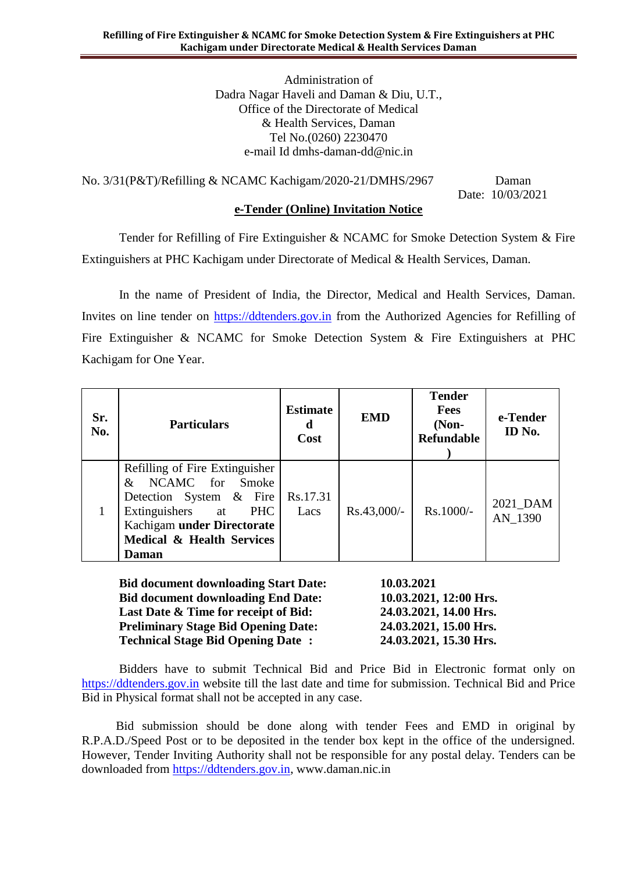Administration of Dadra Nagar Haveli and Daman & Diu, U.T., Office of the Directorate of Medical & Health Services, Daman Tel No.(0260) 2230470 e-mail Id dmhs-daman-dd@nic.in

No. 3/31(P&T)/Refilling & NCAMC Kachigam/2020-21/DMHS/2967 Daman

Date: 10/03/2021

## **e-Tender (Online) Invitation Notice**

Tender for Refilling of Fire Extinguisher & NCAMC for Smoke Detection System & Fire Extinguishers at PHC Kachigam under Directorate of Medical & Health Services, Daman.

In the name of President of India, the Director, Medical and Health Services, Daman. Invites on line tender on [https://ddtenders.gov.in](https://www.nprocure.com/) from the Authorized Agencies for Refilling of Fire Extinguisher & NCAMC for Smoke Detection System & Fire Extinguishers at PHC Kachigam for One Year.

| Sr.<br>No. | <b>Particulars</b>                                                                                                                                                                                         | <b>Estimate</b><br>d<br>Cost | <b>EMD</b>    | <b>Tender</b><br><b>Fees</b><br>$(Non-$<br><b>Refundable</b> | e-Tender<br>ID No.  |
|------------|------------------------------------------------------------------------------------------------------------------------------------------------------------------------------------------------------------|------------------------------|---------------|--------------------------------------------------------------|---------------------|
|            | Refilling of Fire Extinguisher<br>NCAMC for Smoke<br>$\mathcal{X}$<br>Detection System & Fire<br>Extinguishers at<br><b>PHC</b><br>Kachigam under Directorate<br>Medical & Health Services<br><b>Daman</b> | Rs.17.31<br>Lacs             | $Rs.43,000/-$ | Rs.1000/-                                                    | 2021_DAM<br>AN 1390 |

**Bid document downloading Start Date: 10.03.2021 Bid document downloading End Date: 10.03.2021, 12:00 Hrs. Last Date & Time for receipt of Bid: 24.03.2021, 14.00 Hrs. Preliminary Stage Bid Opening Date: 24.03.2021, 15.00 Hrs. Technical Stage Bid Opening Date : 24.03.2021, 15.30 Hrs.**

Bidders have to submit Technical Bid and Price Bid in Electronic format only on [https://ddtenders.gov.in](https://www.nprocure.com/) website till the last date and time for submission. Technical Bid and Price Bid in Physical format shall not be accepted in any case.

 Bid submission should be done along with tender Fees and EMD in original by R.P.A.D./Speed Post or to be deposited in the tender box kept in the office of the undersigned. However, Tender Inviting Authority shall not be responsible for any postal delay. Tenders can be downloaded from [https://ddtenders.gov.in,](https://www.nprocure.com/) www.daman.nic.in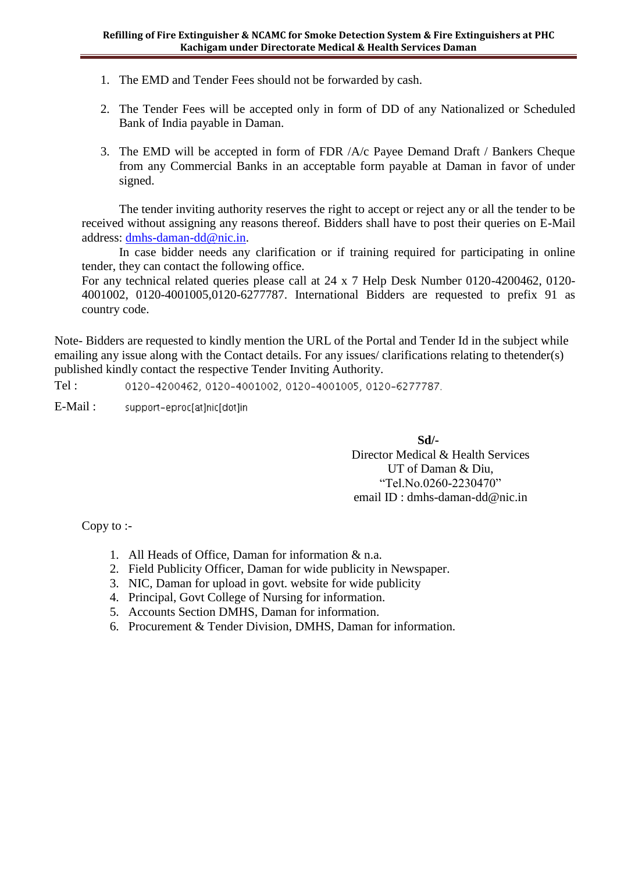- 1. The EMD and Tender Fees should not be forwarded by cash.
- 2. The Tender Fees will be accepted only in form of DD of any Nationalized or Scheduled Bank of India payable in Daman.
- 3. The EMD will be accepted in form of FDR /A/c Payee Demand Draft / Bankers Cheque from any Commercial Banks in an acceptable form payable at Daman in favor of under signed.

The tender inviting authority reserves the right to accept or reject any or all the tender to be received without assigning any reasons thereof. Bidders shall have to post their queries on E-Mail address: [dmhs-daman-dd@nic.in.](mailto:dmhs-daman-dd@nic.in)

In case bidder needs any clarification or if training required for participating in online tender, they can contact the following office.

For any technical related queries please call at 24 x 7 Help Desk Number 0120-4200462, 0120- 4001002, 0120-4001005,0120-6277787. International Bidders are requested to prefix 91 as country code.

Note- Bidders are requested to kindly mention the URL of the Portal and Tender Id in the subject while emailing any issue along with the Contact details. For any issues/ clarifications relating to thetender(s) published kindly contact the respective Tender Inviting Authority.

Tel : 0120-4200462, 0120-4001002, 0120-4001005, 0120-6277787.

E-Mail : support-eproc[at]nic[dot]in

> **Sd/-** Director Medical & Health Services UT of Daman & Diu, "Tel.No.0260-2230470" email ID : dmhs-daman-dd@nic.in

Copy to :-

- 1. All Heads of Office, Daman for information & n.a.
- 2. Field Publicity Officer, Daman for wide publicity in Newspaper.
- 3. NIC, Daman for upload in govt. website for wide publicity
- 4. Principal, Govt College of Nursing for information.
- 5. Accounts Section DMHS, Daman for information.
- 6. Procurement & Tender Division, DMHS, Daman for information.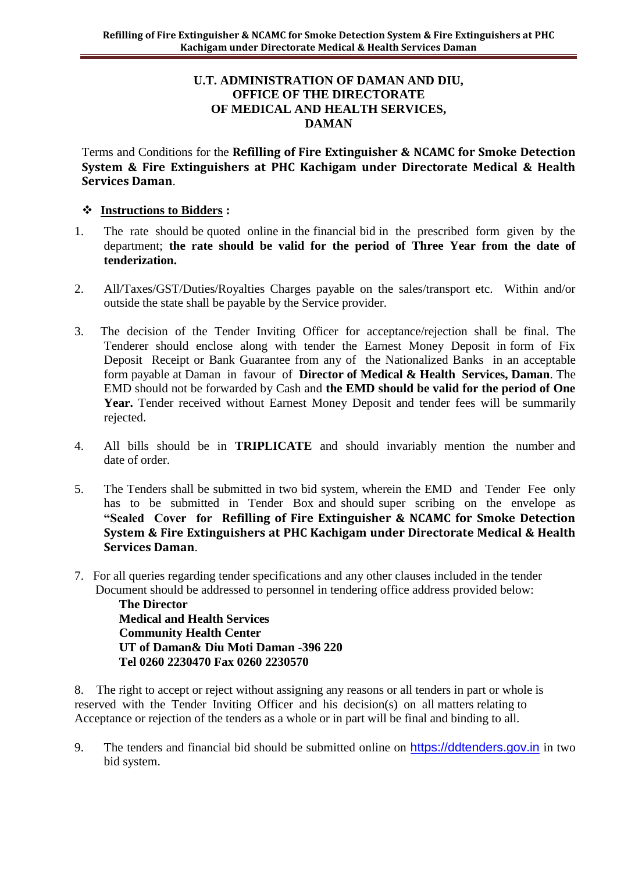### **U.T. ADMINISTRATION OF DAMAN AND DIU, OFFICE OF THE DIRECTORATE OF MEDICAL AND HEALTH SERVICES, DAMAN**

Terms and Conditions for the **Refilling of Fire Extinguisher & NCAMC for Smoke Detection System & Fire Extinguishers at PHC Kachigam under Directorate Medical & Health Services Daman**.

## **Instructions to Bidders :**

- 1. The rate should be quoted online in the financial bid in the prescribed form given by the department; **the rate should be valid for the period of Three Year from the date of tenderization.**
- 2. All/Taxes/GST/Duties/Royalties Charges payable on the sales/transport etc. Within and/or outside the state shall be payable by the Service provider.
- 3. The decision of the Tender Inviting Officer for acceptance/rejection shall be final. The Tenderer should enclose along with tender the Earnest Money Deposit in form of Fix Deposit Receipt or Bank Guarantee from any of the Nationalized Banks in an acceptable form payable at Daman in favour of **Director of Medical & Health Services, Daman**. The EMD should not be forwarded by Cash and **the EMD should be valid for the period of One**  Year. Tender received without Earnest Money Deposit and tender fees will be summarily rejected.
- 4. All bills should be in **TRIPLICATE** and should invariably mention the number and date of order.
- 5. The Tenders shall be submitted in two bid system, wherein the EMD and Tender Fee only has to be submitted in Tender Box and should super scribing on the envelope as **"Sealed Cover for Refilling of Fire Extinguisher & NCAMC for Smoke Detection System & Fire Extinguishers at PHC Kachigam under Directorate Medical & Health Services Daman**.
- 7. For all queries regarding tender specifications and any other clauses included in the tender Document should be addressed to personnel in tendering office address provided below:

**The Director Medical and Health Services Community Health Center UT of Daman& Diu Moti Daman -396 220 Tel 0260 2230470 Fax 0260 2230570**

8. The right to accept or reject without assigning any reasons or all tenders in part or whole is reserved with the Tender Inviting Officer and his decision(s) on all matters relating to Acceptance or rejection of the tenders as a whole or in part will be final and binding to all.

9. The tenders and financial bid should be submitted online on [https://ddtenders.gov.in](http://www.nprocure.com/) in two bid system.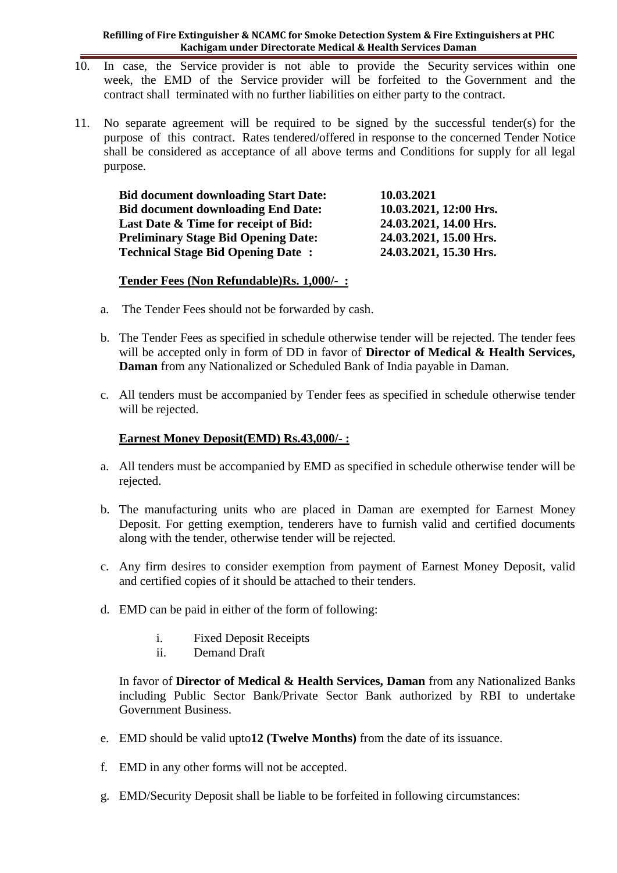#### **Refilling of Fire Extinguisher & NCAMC for Smoke Detection System & Fire Extinguishers at PHC Kachigam under Directorate Medical & Health Services Daman**

- 10. In case, the Service provider is not able to provide the Security services within one week, the EMD of the Service provider will be forfeited to the Government and the contract shall terminated with no further liabilities on either party to the contract.
- 11. No separate agreement will be required to be signed by the successful tender(s) for the purpose of this contract. Rates tendered/offered in response to the concerned Tender Notice shall be considered as acceptance of all above terms and Conditions for supply for all legal purpose.

| <b>Bid document downloading Start Date:</b> | 10.03.2021             |
|---------------------------------------------|------------------------|
| <b>Bid document downloading End Date:</b>   | 10.03.2021, 12:00 Hrs. |
| Last Date & Time for receipt of Bid:        | 24.03.2021, 14.00 Hrs. |
| <b>Preliminary Stage Bid Opening Date:</b>  | 24.03.2021, 15.00 Hrs. |
| <b>Technical Stage Bid Opening Date:</b>    | 24.03.2021, 15.30 Hrs. |

## **Tender Fees (Non Refundable)Rs. 1,000/- :**

- a. The Tender Fees should not be forwarded by cash.
- b. The Tender Fees as specified in schedule otherwise tender will be rejected. The tender fees will be accepted only in form of DD in favor of **Director of Medical & Health Services, Daman** from any Nationalized or Scheduled Bank of India payable in Daman.
- c. All tenders must be accompanied by Tender fees as specified in schedule otherwise tender will be rejected.

### **Earnest Money Deposit(EMD) Rs.43,000/- :**

- a. All tenders must be accompanied by EMD as specified in schedule otherwise tender will be rejected.
- b. The manufacturing units who are placed in Daman are exempted for Earnest Money Deposit. For getting exemption, tenderers have to furnish valid and certified documents along with the tender, otherwise tender will be rejected.
- c. Any firm desires to consider exemption from payment of Earnest Money Deposit, valid and certified copies of it should be attached to their tenders.
- d. EMD can be paid in either of the form of following:
	- i. Fixed Deposit Receipts
	- ii. Demand Draft

In favor of **Director of Medical & Health Services, Daman** from any Nationalized Banks including Public Sector Bank/Private Sector Bank authorized by RBI to undertake Government Business.

- e. EMD should be valid upto**12 (Twelve Months)** from the date of its issuance.
- f. EMD in any other forms will not be accepted.
- g. EMD/Security Deposit shall be liable to be forfeited in following circumstances: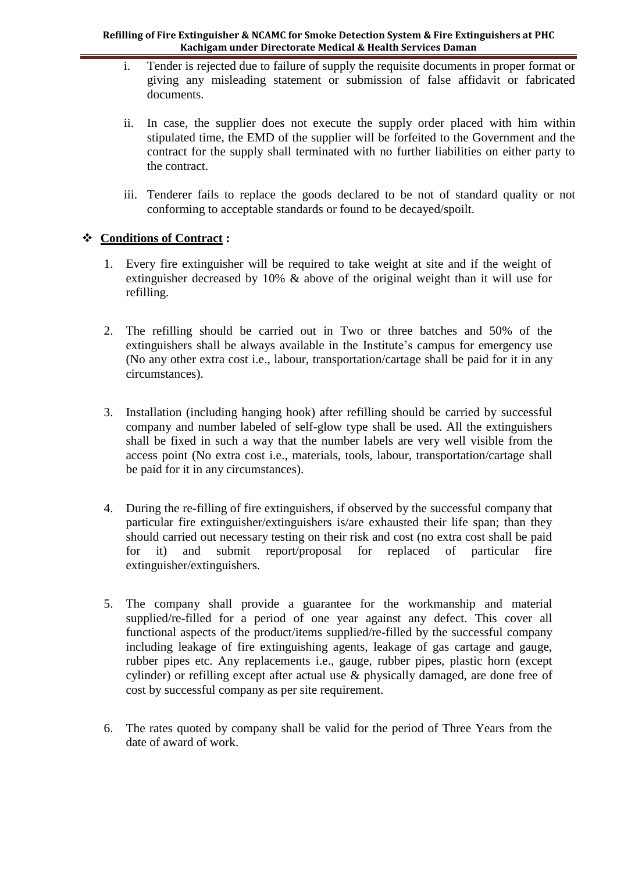#### **Refilling of Fire Extinguisher & NCAMC for Smoke Detection System & Fire Extinguishers at PHC Kachigam under Directorate Medical & Health Services Daman**

- i. Tender is rejected due to failure of supply the requisite documents in proper format or giving any misleading statement or submission of false affidavit or fabricated documents.
- ii. In case, the supplier does not execute the supply order placed with him within stipulated time, the EMD of the supplier will be forfeited to the Government and the contract for the supply shall terminated with no further liabilities on either party to the contract.
- iii. Tenderer fails to replace the goods declared to be not of standard quality or not conforming to acceptable standards or found to be decayed/spoilt.

## **Conditions of Contract :**

- 1. Every fire extinguisher will be required to take weight at site and if the weight of extinguisher decreased by 10% & above of the original weight than it will use for refilling.
- 2. The refilling should be carried out in Two or three batches and 50% of the extinguishers shall be always available in the Institute's campus for emergency use (No any other extra cost i.e., labour, transportation/cartage shall be paid for it in any circumstances).
- 3. Installation (including hanging hook) after refilling should be carried by successful company and number labeled of self-glow type shall be used. All the extinguishers shall be fixed in such a way that the number labels are very well visible from the access point (No extra cost i.e., materials, tools, labour, transportation/cartage shall be paid for it in any circumstances).
- 4. During the re-filling of fire extinguishers, if observed by the successful company that particular fire extinguisher/extinguishers is/are exhausted their life span; than they should carried out necessary testing on their risk and cost (no extra cost shall be paid for it) and submit report/proposal for replaced of particular fire extinguisher/extinguishers.
- 5. The company shall provide a guarantee for the workmanship and material supplied/re-filled for a period of one year against any defect. This cover all functional aspects of the product/items supplied/re-filled by the successful company including leakage of fire extinguishing agents, leakage of gas cartage and gauge, rubber pipes etc. Any replacements i.e., gauge, rubber pipes, plastic horn (except cylinder) or refilling except after actual use & physically damaged, are done free of cost by successful company as per site requirement.
- 6. The rates quoted by company shall be valid for the period of Three Years from the date of award of work.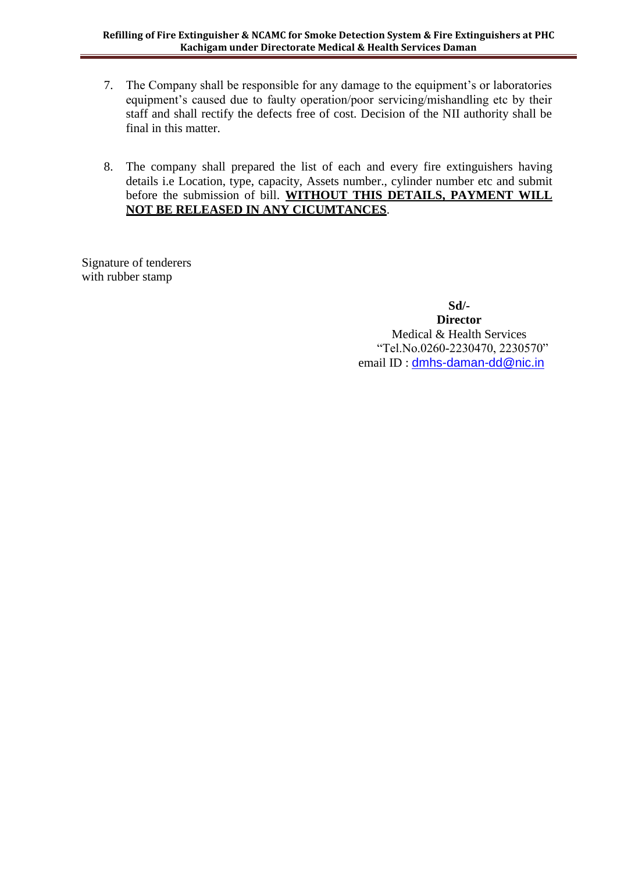- 7. The Company shall be responsible for any damage to the equipment's or laboratories equipment's caused due to faulty operation/poor servicing/mishandling etc by their staff and shall rectify the defects free of cost. Decision of the NII authority shall be final in this matter.
- 8. The company shall prepared the list of each and every fire extinguishers having details i.e Location, type, capacity, Assets number., cylinder number etc and submit before the submission of bill. **WITHOUT THIS DETAILS, PAYMENT WILL NOT BE RELEASED IN ANY CICUMTANCES**.

Signature of tenderers with rubber stamp

> **Sd/- Director** Medical & Health Services "Tel.No.0260-2230470, 2230570" email ID : [dmhs-daman-dd@nic.in](mailto:dmhs-daman-dd@nic.in)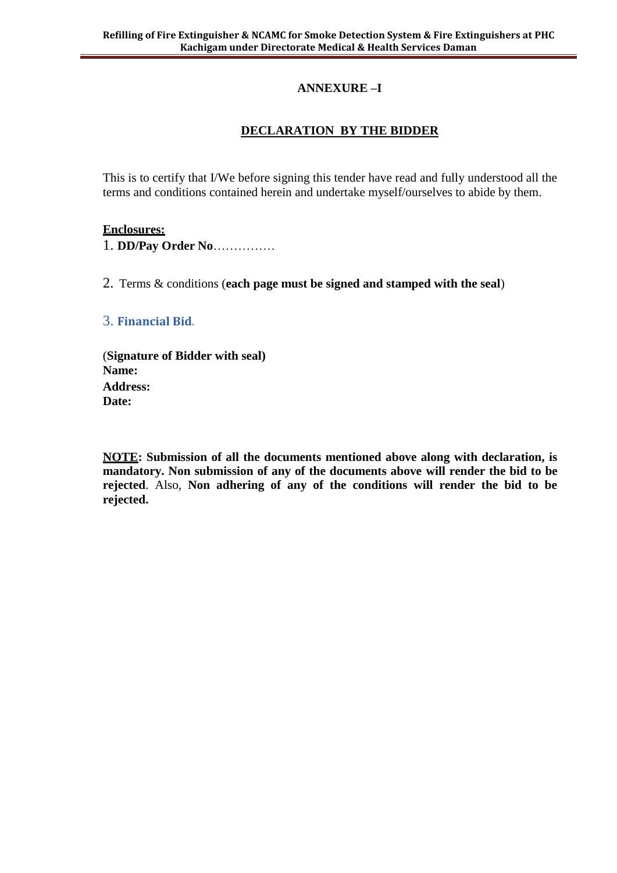## **ANNEXURE –I**

## **DECLARATION BY THE BIDDER**

This is to certify that I/We before signing this tender have read and fully understood all the terms and conditions contained herein and undertake myself/ourselves to abide by them.

#### **Enclosures:**

1. **DD/Pay Order No**……………

2. Terms & conditions (**each page must be signed and stamped with the seal**)

3. **Financial Bid**.

(**Signature of Bidder with seal) Name: Address: Date:**

**NOTE: Submission of all the documents mentioned above along with declaration, is mandatory. Non submission of any of the documents above will render the bid to be rejected**. Also, **Non adhering of any of the conditions will render the bid to be rejected.**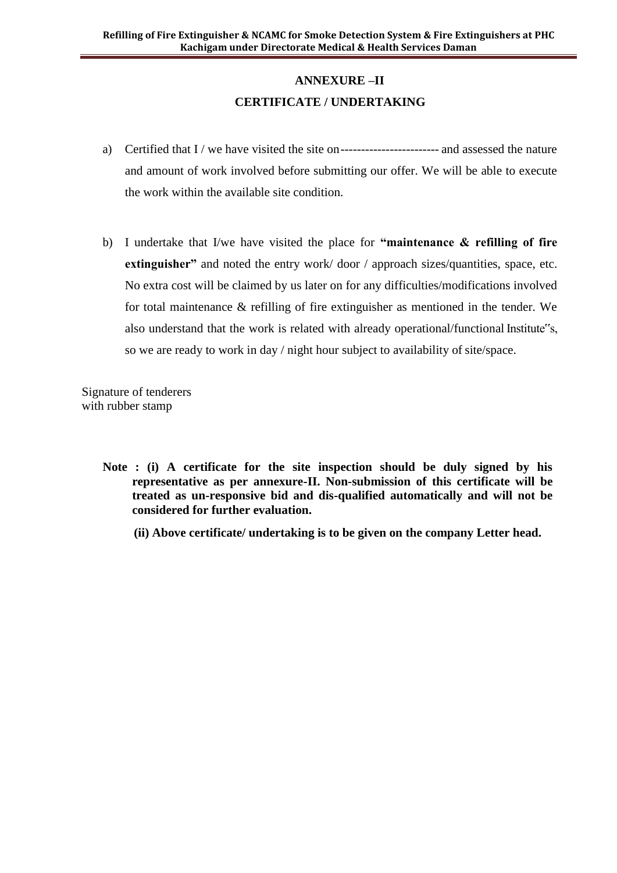# **ANNEXURE –II CERTIFICATE / UNDERTAKING**

- a) Certified that I / we have visited the site on------------------------ and assessed the nature and amount of work involved before submitting our offer. We will be able to execute the work within the available site condition.
- b) I undertake that I/we have visited the place for **"maintenance & refilling of fire extinguisher"** and noted the entry work/door / approach sizes/quantities, space, etc. No extra cost will be claimed by us later on for any difficulties/modifications involved for total maintenance & refilling of fire extinguisher as mentioned in the tender. We also understand that the work is related with already operational/functional Institute"s, so we are ready to work in day / night hour subject to availability of site/space.

Signature of tenderers with rubber stamp

- **Note : (i) A certificate for the site inspection should be duly signed by his representative as per annexure-II. Non-submission of this certificate will be treated as un-responsive bid and dis-qualified automatically and will not be considered for further evaluation.**
	- **(ii) Above certificate/ undertaking is to be given on the company Letter head.**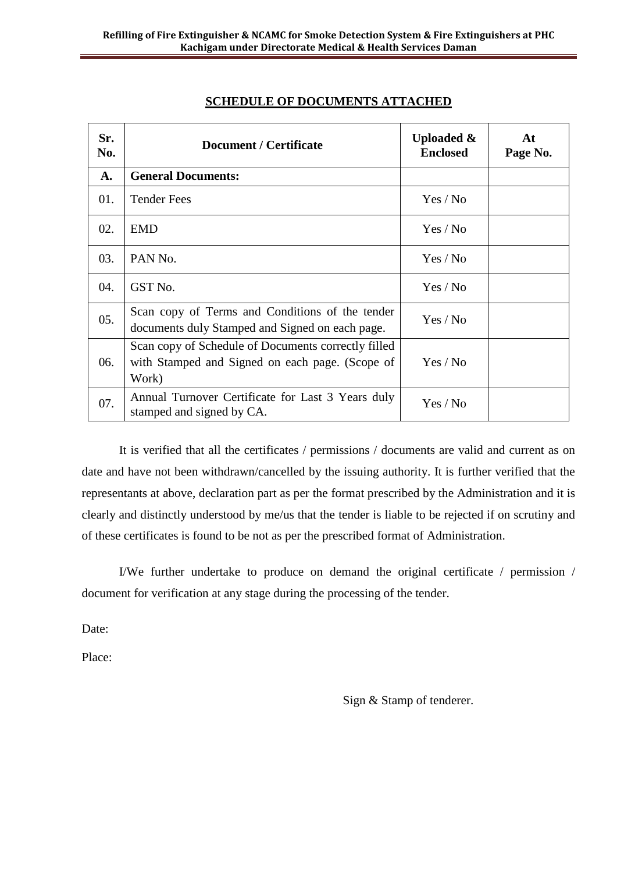| Sr.<br>No. | <b>Document / Certificate</b>                                                                                   | <b>Uploaded &amp;</b><br><b>Enclosed</b> | At<br>Page No. |
|------------|-----------------------------------------------------------------------------------------------------------------|------------------------------------------|----------------|
| A.         | <b>General Documents:</b>                                                                                       |                                          |                |
| 01.        | <b>Tender Fees</b>                                                                                              | Yes / No                                 |                |
| 02.        | <b>EMD</b>                                                                                                      | Yes / No                                 |                |
| 03.        | PAN <sub>No.</sub>                                                                                              | Yes / No                                 |                |
| 04.        | GST No.                                                                                                         | Yes / No                                 |                |
| 05.        | Scan copy of Terms and Conditions of the tender<br>documents duly Stamped and Signed on each page.              | Yes / No                                 |                |
| 06.        | Scan copy of Schedule of Documents correctly filled<br>with Stamped and Signed on each page. (Scope of<br>Work) | Yes / No                                 |                |
| 07.        | Annual Turnover Certificate for Last 3 Years duly<br>stamped and signed by CA.                                  | Yes / No                                 |                |

## **SCHEDULE OF DOCUMENTS ATTACHED**

It is verified that all the certificates / permissions / documents are valid and current as on date and have not been withdrawn/cancelled by the issuing authority. It is further verified that the representants at above, declaration part as per the format prescribed by the Administration and it is clearly and distinctly understood by me/us that the tender is liable to be rejected if on scrutiny and of these certificates is found to be not as per the prescribed format of Administration.

I/We further undertake to produce on demand the original certificate / permission / document for verification at any stage during the processing of the tender.

Date:

Place:

Sign & Stamp of tenderer.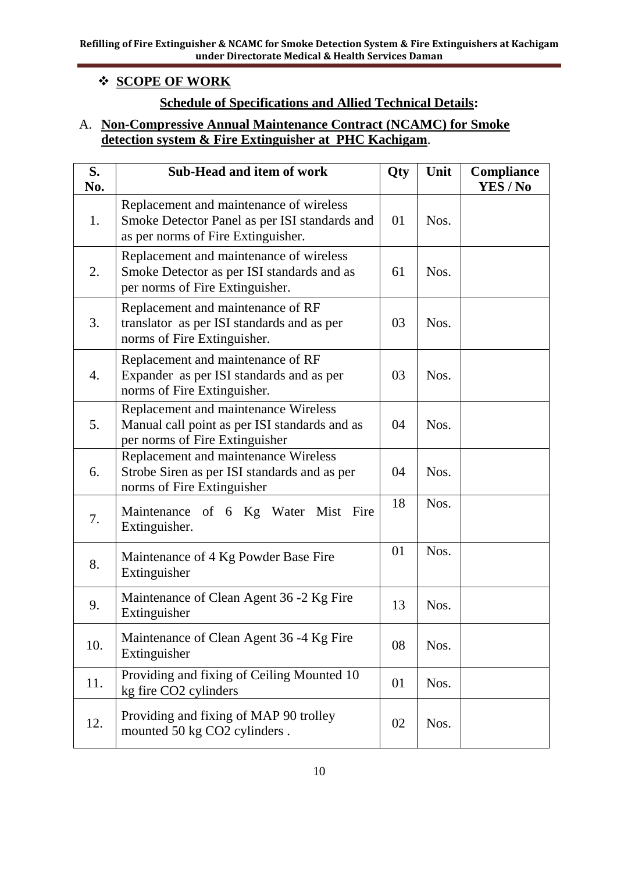## **SCOPE OF WORK**

# **Schedule of Specifications and Allied Technical Details:**

## A. **Non-Compressive Annual Maintenance Contract (NCAMC) for Smoke detection system & Fire Extinguisher at PHC Kachigam**.

| S.<br>No. | <b>Sub-Head and item of work</b>                                                                                               | Qty | Unit | Compliance<br><b>YES / No</b> |
|-----------|--------------------------------------------------------------------------------------------------------------------------------|-----|------|-------------------------------|
| 1.        | Replacement and maintenance of wireless<br>Smoke Detector Panel as per ISI standards and<br>as per norms of Fire Extinguisher. | 01  | Nos. |                               |
| 2.        | Replacement and maintenance of wireless<br>Smoke Detector as per ISI standards and as<br>per norms of Fire Extinguisher.       | 61  | Nos. |                               |
| 3.        | Replacement and maintenance of RF<br>translator as per ISI standards and as per<br>norms of Fire Extinguisher.                 | 03  | Nos. |                               |
| 4.        | Replacement and maintenance of RF<br>Expander as per ISI standards and as per<br>norms of Fire Extinguisher.                   | 03  | Nos. |                               |
| 5.        | Replacement and maintenance Wireless<br>Manual call point as per ISI standards and as<br>per norms of Fire Extinguisher        | 04  | Nos. |                               |
| 6.        | Replacement and maintenance Wireless<br>Strobe Siren as per ISI standards and as per<br>norms of Fire Extinguisher             | 04  | Nos. |                               |
| 7.        | Maintenance of 6 Kg Water Mist Fire<br>Extinguisher.                                                                           | 18  | Nos. |                               |
| 8.        | Maintenance of 4 Kg Powder Base Fire<br>Extinguisher                                                                           | 01  | Nos. |                               |
| 9.        | Maintenance of Clean Agent 36 -2 Kg Fire<br>Extinguisher                                                                       | 13  | Nos. |                               |
| 10.       | Maintenance of Clean Agent 36 -4 Kg Fire<br>Extinguisher                                                                       | 08  | Nos. |                               |
| 11.       | Providing and fixing of Ceiling Mounted 10<br>kg fire CO2 cylinders                                                            | 01  | Nos. |                               |
| 12.       | Providing and fixing of MAP 90 trolley<br>mounted 50 kg CO2 cylinders.                                                         | 02  | Nos. |                               |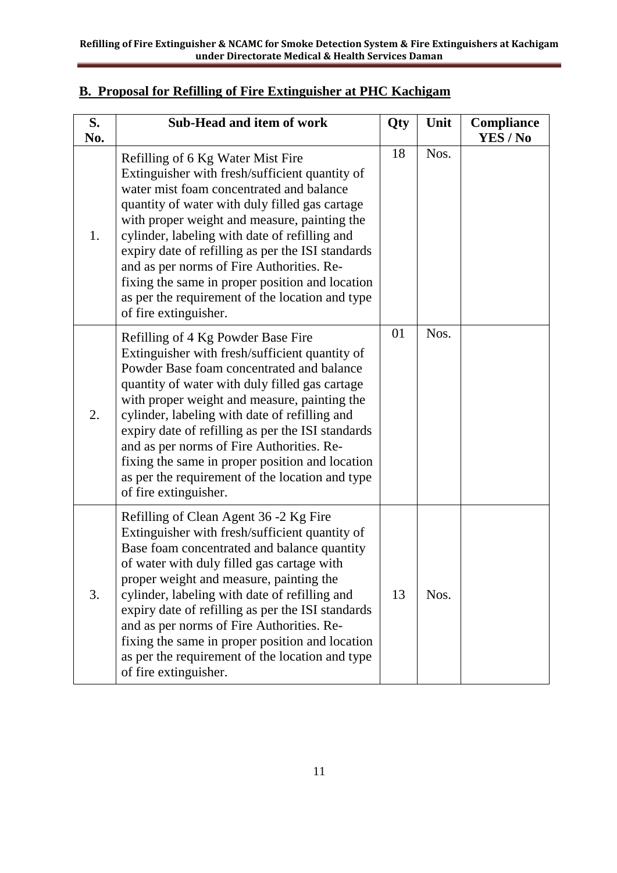| S.<br>No. | Sub-Head and item of work                                                                                                                                                                                                                                                                                                                                                                                                                                                                                             | Qty | Unit | <b>Compliance</b><br>YES / No |
|-----------|-----------------------------------------------------------------------------------------------------------------------------------------------------------------------------------------------------------------------------------------------------------------------------------------------------------------------------------------------------------------------------------------------------------------------------------------------------------------------------------------------------------------------|-----|------|-------------------------------|
| 1.        | Refilling of 6 Kg Water Mist Fire<br>Extinguisher with fresh/sufficient quantity of<br>water mist foam concentrated and balance<br>quantity of water with duly filled gas cartage<br>with proper weight and measure, painting the<br>cylinder, labeling with date of refilling and<br>expiry date of refilling as per the ISI standards<br>and as per norms of Fire Authorities. Re-<br>fixing the same in proper position and location<br>as per the requirement of the location and type<br>of fire extinguisher.   | 18  | Nos. |                               |
| 2.        | Refilling of 4 Kg Powder Base Fire<br>Extinguisher with fresh/sufficient quantity of<br>Powder Base foam concentrated and balance<br>quantity of water with duly filled gas cartage<br>with proper weight and measure, painting the<br>cylinder, labeling with date of refilling and<br>expiry date of refilling as per the ISI standards<br>and as per norms of Fire Authorities. Re-<br>fixing the same in proper position and location<br>as per the requirement of the location and type<br>of fire extinguisher. | 01  | Nos. |                               |
| 3.        | Refilling of Clean Agent 36 -2 Kg Fire<br>Extinguisher with fresh/sufficient quantity of<br>Base foam concentrated and balance quantity<br>of water with duly filled gas cartage with<br>proper weight and measure, painting the<br>cylinder, labeling with date of refilling and<br>expiry date of refilling as per the ISI standards<br>and as per norms of Fire Authorities. Re-<br>fixing the same in proper position and location<br>as per the requirement of the location and type<br>of fire extinguisher.    | 13  | Nos. |                               |

## **B. Proposal for Refilling of Fire Extinguisher at PHC Kachigam**